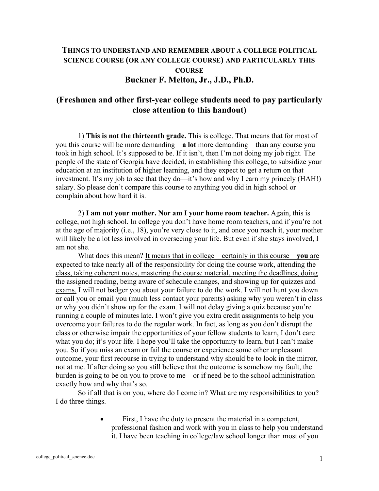## **THINGS TO UNDERSTAND AND REMEMBER ABOUT A COLLEGE POLITICAL SCIENCE COURSE (OR ANY COLLEGE COURSE) AND PARTICULARLY THIS COURSE Buckner F. Melton, Jr., J.D., Ph.D.**

## **(Freshmen and other first-year college students need to pay particularly close attention to this handout)**

 1) **This is not the thirteenth grade.** This is college. That means that for most of you this course will be more demanding—**a lot** more demanding—than any course you took in high school. It's supposed to be. If it isn't, then I'm not doing my job right. The people of the state of Georgia have decided, in establishing this college, to subsidize your education at an institution of higher learning, and they expect to get a return on that investment. It's my job to see that they do—it's how and why I earn my princely (HAH!) salary. So please don't compare this course to anything you did in high school or complain about how hard it is.

 2) **I am not your mother. Nor am I your home room teacher.** Again, this is college, not high school. In college you don't have home room teachers, and if you're not at the age of majority (i.e., 18), you're very close to it, and once you reach it, your mother will likely be a lot less involved in overseeing your life. But even if she stays involved, I am not she.

 What does this mean? It means that in college—certainly in this course—**you** are expected to take nearly all of the responsibility for doing the course work, attending the class, taking coherent notes, mastering the course material, meeting the deadlines, doing the assigned reading, being aware of schedule changes, and showing up for quizzes and exams. I will not badger you about your failure to do the work. I will not hunt you down or call you or email you (much less contact your parents) asking why you weren't in class or why you didn't show up for the exam. I will not delay giving a quiz because you're running a couple of minutes late. I won't give you extra credit assignments to help you overcome your failures to do the regular work. In fact, as long as you don't disrupt the class or otherwise impair the opportunities of your fellow students to learn, I don't care what you do; it's your life. I hope you'll take the opportunity to learn, but I can't make you. So if you miss an exam or fail the course or experience some other unpleasant outcome, your first recourse in trying to understand why should be to look in the mirror, not at me. If after doing so you still believe that the outcome is somehow my fault, the burden is going to be on you to prove to me—or if need be to the school administration exactly how and why that's so.

 So if all that is on you, where do I come in? What are my responsibilities to you? I do three things.

> First, I have the duty to present the material in a competent, professional fashion and work with you in class to help you understand it. I have been teaching in college/law school longer than most of you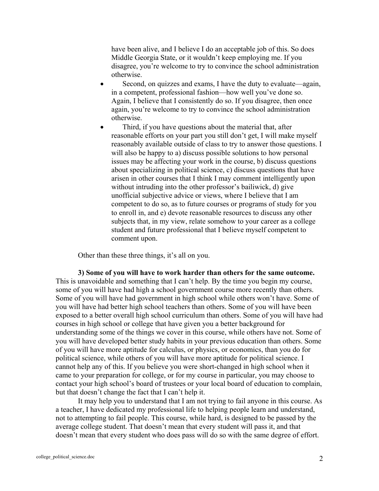have been alive, and I believe I do an acceptable job of this. So does Middle Georgia State, or it wouldn't keep employing me. If you disagree, you're welcome to try to convince the school administration otherwise.

- Second, on quizzes and exams, I have the duty to evaluate—again, in a competent, professional fashion—how well you've done so. Again, I believe that I consistently do so. If you disagree, then once again, you're welcome to try to convince the school administration otherwise.
- Third, if you have questions about the material that, after reasonable efforts on your part you still don't get, I will make myself reasonably available outside of class to try to answer those questions. I will also be happy to a) discuss possible solutions to how personal issues may be affecting your work in the course, b) discuss questions about specializing in political science, c) discuss questions that have arisen in other courses that I think I may comment intelligently upon without intruding into the other professor's bailiwick, d) give unofficial subjective advice or views, where I believe that I am competent to do so, as to future courses or programs of study for you to enroll in, and e) devote reasonable resources to discuss any other subjects that, in my view, relate somehow to your career as a college student and future professional that I believe myself competent to comment upon.

Other than these three things, it's all on you.

**3) Some of you will have to work harder than others for the same outcome.** This is unavoidable and something that I can't help. By the time you begin my course, some of you will have had high a school government course more recently than others. Some of you will have had government in high school while others won't have. Some of you will have had better high school teachers than others. Some of you will have been exposed to a better overall high school curriculum than others. Some of you will have had courses in high school or college that have given you a better background for understanding some of the things we cover in this course, while others have not. Some of you will have developed better study habits in your previous education than others. Some of you will have more aptitude for calculus, or physics, or economics, than you do for political science, while others of you will have more aptitude for political science. I cannot help any of this. If you believe you were short-changed in high school when it came to your preparation for college, or for my course in particular, you may choose to contact your high school's board of trustees or your local board of education to complain, but that doesn't change the fact that I can't help it.

 It may help you to understand that I am not trying to fail anyone in this course. As a teacher, I have dedicated my professional life to helping people learn and understand, not to attempting to fail people. This course, while hard, is designed to be passed by the average college student. That doesn't mean that every student will pass it, and that doesn't mean that every student who does pass will do so with the same degree of effort.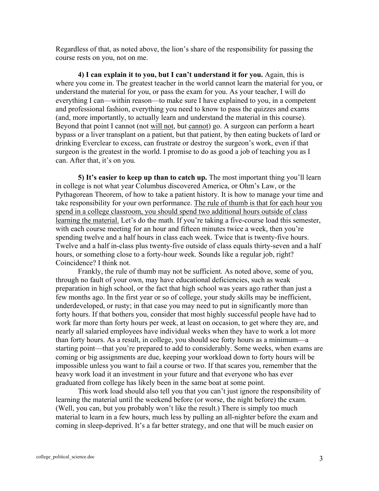Regardless of that, as noted above, the lion's share of the responsibility for passing the course rests on you, not on me.

**4) I can explain it to you, but I can't understand it for you.** Again, this is where you come in. The greatest teacher in the world cannot learn the material for you, or understand the material for you, or pass the exam for you. As your teacher, I will do everything I can—within reason—to make sure I have explained to you, in a competent and professional fashion, everything you need to know to pass the quizzes and exams (and, more importantly, to actually learn and understand the material in this course). Beyond that point I cannot (not will not, but cannot) go. A surgeon can perform a heart bypass or a liver transplant on a patient, but that patient, by then eating buckets of lard or drinking Everclear to excess, can frustrate or destroy the surgeon's work, even if that surgeon is the greatest in the world. I promise to do as good a job of teaching you as I can. After that, it's on you.

**5) It's easier to keep up than to catch up.** The most important thing you'll learn in college is not what year Columbus discovered America, or Ohm's Law, or the Pythagorean Theorem, of how to take a patient history. It is how to manage your time and take responsibility for your own performance. The rule of thumb is that for each hour you spend in a college classroom, you should spend two additional hours outside of class learning the material. Let's do the math. If you're taking a five-course load this semester, with each course meeting for an hour and fifteen minutes twice a week, then you're spending twelve and a half hours in class each week. Twice that is twenty-five hours. Twelve and a half in-class plus twenty-five outside of class equals thirty-seven and a half hours, or something close to a forty-hour week. Sounds like a regular job, right? Coincidence? I think not.

 Frankly, the rule of thumb may not be sufficient. As noted above, some of you, through no fault of your own, may have educational deficiencies, such as weak preparation in high school, or the fact that high school was years ago rather than just a few months ago. In the first year or so of college, your study skills may be inefficient, underdeveloped, or rusty; in that case you may need to put in significantly more than forty hours. If that bothers you, consider that most highly successful people have had to work far more than forty hours per week, at least on occasion, to get where they are, and nearly all salaried employees have individual weeks when they have to work a lot more than forty hours. As a result, in college, you should see forty hours as a minimum—a starting point—that you're prepared to add to considerably. Some weeks, when exams are coming or big assignments are due, keeping your workload down to forty hours will be impossible unless you want to fail a course or two. If that scares you, remember that the heavy work load it an investment in your future and that everyone who has ever graduated from college has likely been in the same boat at some point.

 This work load should also tell you that you can't just ignore the responsibility of learning the material until the weekend before (or worse, the night before) the exam. (Well, you can, but you probably won't like the result.) There is simply too much material to learn in a few hours, much less by pulling an all-nighter before the exam and coming in sleep-deprived. It's a far better strategy, and one that will be much easier on